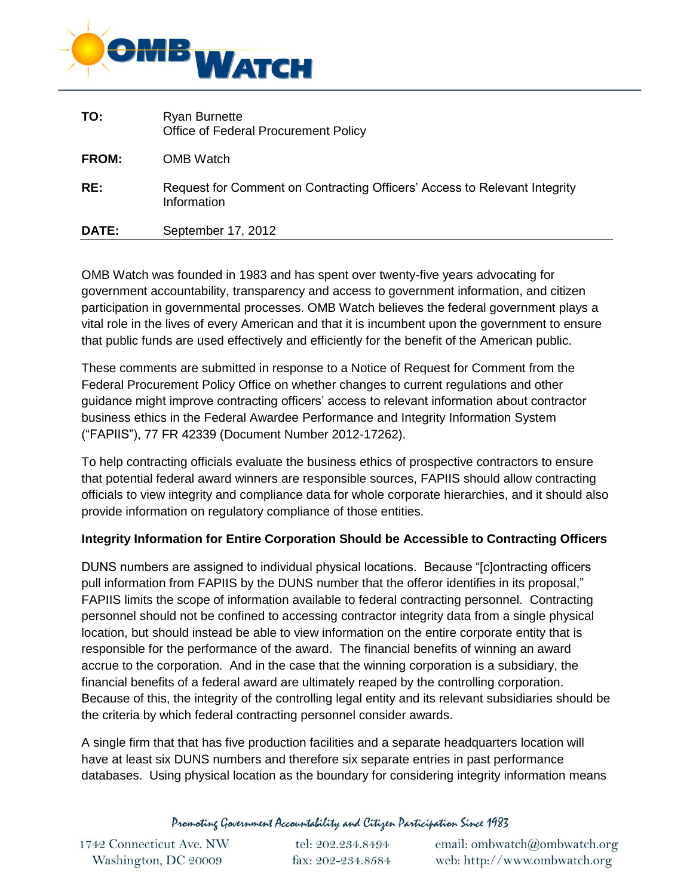

| TO:          | <b>Ryan Burnette</b><br><b>Office of Federal Procurement Policy</b>                      |
|--------------|------------------------------------------------------------------------------------------|
| <b>FROM:</b> | OMB Watch                                                                                |
| RE:          | Request for Comment on Contracting Officers' Access to Relevant Integrity<br>Information |
| DATE:        | September 17, 2012                                                                       |

OMB Watch was founded in 1983 and has spent over twenty-five years advocating for government accountability, transparency and access to government information, and citizen participation in governmental processes. OMB Watch believes the federal government plays a vital role in the lives of every American and that it is incumbent upon the government to ensure that public funds are used effectively and efficiently for the benefit of the American public.

These comments are submitted in response to a Notice of Request for Comment from the Federal Procurement Policy Office on whether changes to current regulations and other guidance might improve contracting officers' access to relevant information about contractor business ethics in the Federal Awardee Performance and Integrity Information System ("FAPIIS"), 77 FR 42339 (Document Number 2012-17262).

To help contracting officials evaluate the business ethics of prospective contractors to ensure that potential federal award winners are responsible sources, FAPIIS should allow contracting officials to view integrity and compliance data for whole corporate hierarchies, and it should also provide information on regulatory compliance of those entities.

## **Integrity Information for Entire Corporation Should be Accessible to Contracting Officers**

DUNS numbers are assigned to individual physical locations. Because "[c]ontracting officers pull information from FAPIIS by the DUNS number that the offeror identifies in its proposal," FAPIIS limits the scope of information available to federal contracting personnel. Contracting personnel should not be confined to accessing contractor integrity data from a single physical location, but should instead be able to view information on the entire corporate entity that is responsible for the performance of the award. The financial benefits of winning an award accrue to the corporation. And in the case that the winning corporation is a subsidiary, the financial benefits of a federal award are ultimately reaped by the controlling corporation. Because of this, the integrity of the controlling legal entity and its relevant subsidiaries should be the criteria by which federal contracting personnel consider awards.

A single firm that that has five production facilities and a separate headquarters location will have at least six DUNS numbers and therefore six separate entries in past performance databases. Using physical location as the boundary for considering integrity information means

Promoting Government Accountability and Citizen Participation Since 1983

| 1742 Connecticut Ave. NW |  |
|--------------------------|--|
| Washington, DC 20009     |  |

tel: 202.234.8494 fax: 202-234.8584

email: ombwatch@ombwatch.org web: http://www.ombwatch.org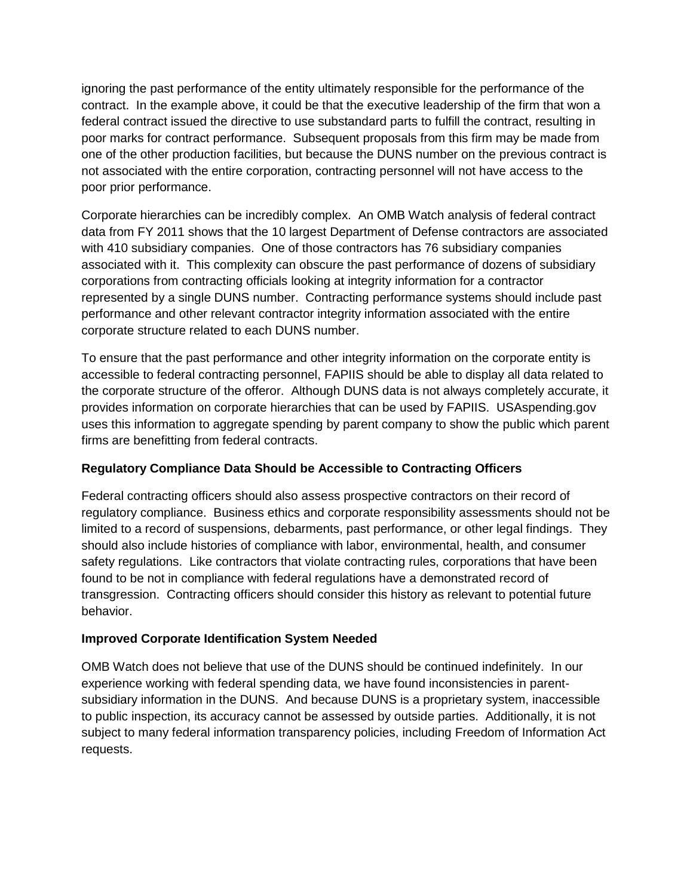ignoring the past performance of the entity ultimately responsible for the performance of the contract. In the example above, it could be that the executive leadership of the firm that won a federal contract issued the directive to use substandard parts to fulfill the contract, resulting in poor marks for contract performance. Subsequent proposals from this firm may be made from one of the other production facilities, but because the DUNS number on the previous contract is not associated with the entire corporation, contracting personnel will not have access to the poor prior performance.

Corporate hierarchies can be incredibly complex. An OMB Watch analysis of federal contract data from FY 2011 shows that the 10 largest Department of Defense contractors are associated with 410 subsidiary companies. One of those contractors has 76 subsidiary companies associated with it. This complexity can obscure the past performance of dozens of subsidiary corporations from contracting officials looking at integrity information for a contractor represented by a single DUNS number. Contracting performance systems should include past performance and other relevant contractor integrity information associated with the entire corporate structure related to each DUNS number.

To ensure that the past performance and other integrity information on the corporate entity is accessible to federal contracting personnel, FAPIIS should be able to display all data related to the corporate structure of the offeror. Although DUNS data is not always completely accurate, it provides information on corporate hierarchies that can be used by FAPIIS. USAspending.gov uses this information to aggregate spending by parent company to show the public which parent firms are benefitting from federal contracts.

## **Regulatory Compliance Data Should be Accessible to Contracting Officers**

Federal contracting officers should also assess prospective contractors on their record of regulatory compliance. Business ethics and corporate responsibility assessments should not be limited to a record of suspensions, debarments, past performance, or other legal findings. They should also include histories of compliance with labor, environmental, health, and consumer safety regulations. Like contractors that violate contracting rules, corporations that have been found to be not in compliance with federal regulations have a demonstrated record of transgression. Contracting officers should consider this history as relevant to potential future behavior.

## **Improved Corporate Identification System Needed**

OMB Watch does not believe that use of the DUNS should be continued indefinitely. In our experience working with federal spending data, we have found inconsistencies in parentsubsidiary information in the DUNS. And because DUNS is a proprietary system, inaccessible to public inspection, its accuracy cannot be assessed by outside parties. Additionally, it is not subject to many federal information transparency policies, including Freedom of Information Act requests.